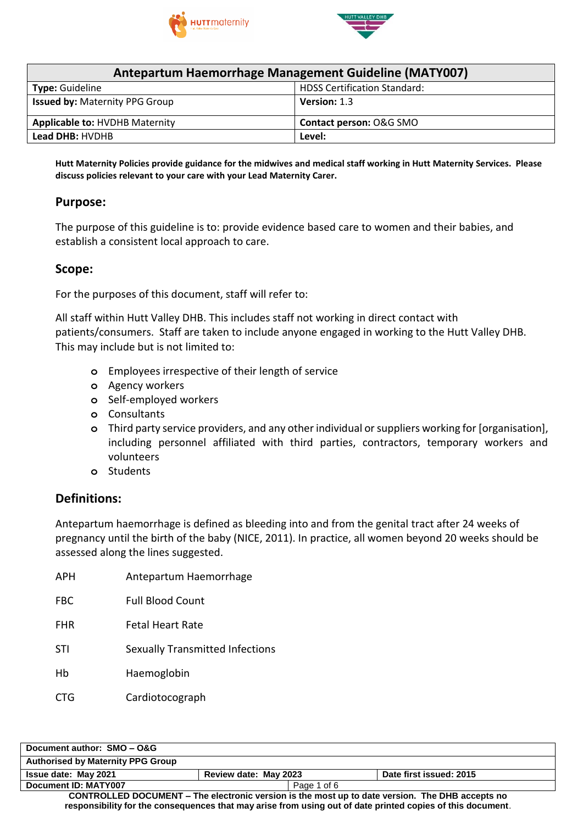



| <b>Antepartum Haemorrhage Management Guideline (MATY007)</b> |                                     |  |
|--------------------------------------------------------------|-------------------------------------|--|
| <b>Type: Guideline</b>                                       | <b>HDSS Certification Standard:</b> |  |
| <b>Issued by: Maternity PPG Group</b>                        | Version: 1.3                        |  |
| <b>Applicable to: HVDHB Maternity</b>                        | Contact person: O&G SMO             |  |
| <b>Lead DHB: HVDHB</b>                                       | Level:                              |  |

Hutt Maternity Policies provide guidance for the midwives and medical staff working in Hutt Maternity Services. Please **discuss policies relevant to your care with your Lead Maternity Carer.**

#### **Purpose:**

The purpose of this guideline is to: provide evidence based care to women and their babies, and establish a consistent local approach to care.

#### **Scope:**

For the purposes of this document, staff will refer to:

All staff within Hutt Valley DHB. This includes staff not working in direct contact with patients/consumers. Staff are taken to include anyone engaged in working to the Hutt Valley DHB. This may include but is not limited to:

- **o** Employees irrespective of their length of service
- **o** Agency workers
- **o** Self-employed workers
- **o** Consultants
- **o** Third party service providers, and any other individual or suppliers working for [organisation], including personnel affiliated with third parties, contractors, temporary workers and volunteers
- **o** Students

#### **Definitions:**

Antepartum haemorrhage is defined as bleeding into and from the genital tract after 24 weeks of pregnancy until the birth of the baby (NICE, 2011). In practice, all women beyond 20 weeks should be assessed along the lines suggested.

APH Antepartum Haemorrhage FBC Full Blood Count FHR Fetal Heart Rate STI Sexually Transmitted Infections Hb Haemoglobin CTG Cardiotocograph

| Document author: SMO - O&G                                                                                 |                       |                         |  |
|------------------------------------------------------------------------------------------------------------|-----------------------|-------------------------|--|
| <b>Authorised by Maternity PPG Group</b>                                                                   |                       |                         |  |
| <b>Issue date: May 2021</b>                                                                                | Review date: May 2023 | Date first issued: 2015 |  |
| Document ID: MATY007                                                                                       | Page 1 of 6           |                         |  |
| CONTROLLED DOCUMENT - The electronic version is the most up to date version. The DHB accepts no            |                       |                         |  |
| responsibility for the consequences that may arise from using out of date printed copies of this document. |                       |                         |  |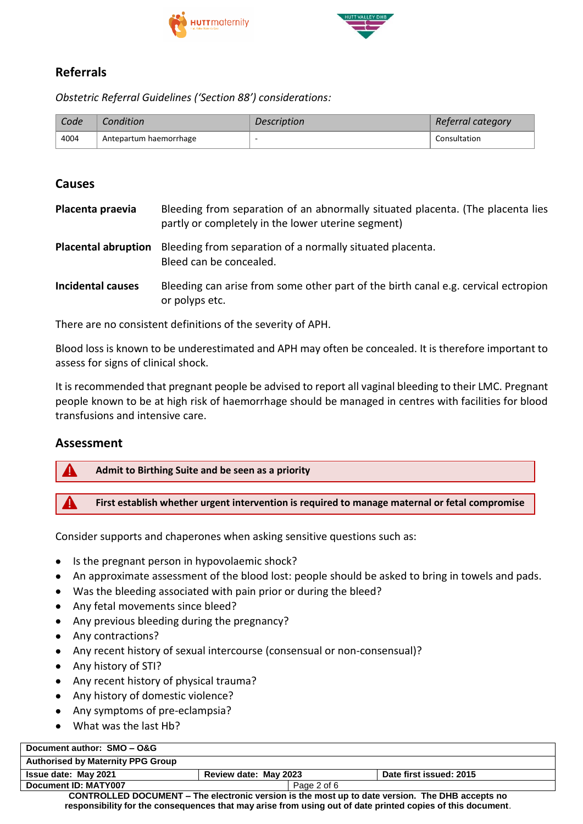



## **Referrals**

*Obstetric Referral Guidelines ('Section 88') considerations:*

| Code | Condition              | <i>Description</i> | Referral category |
|------|------------------------|--------------------|-------------------|
| 4004 | Antepartum haemorrhage | -                  | Consultation      |

### **Causes**

| Placenta praevia           | Bleeding from separation of an abnormally situated placenta. (The placenta lies<br>partly or completely in the lower uterine segment) |
|----------------------------|---------------------------------------------------------------------------------------------------------------------------------------|
| <b>Placental abruption</b> | Bleeding from separation of a normally situated placenta.<br>Bleed can be concealed.                                                  |
| <b>Incidental causes</b>   | Bleeding can arise from some other part of the birth canal e.g. cervical ectropion<br>or polyps etc.                                  |

There are no consistent definitions of the severity of APH.

Blood loss is known to be underestimated and APH may often be concealed. It is therefore important to assess for signs of clinical shock.

It is recommended that pregnant people be advised to report all vaginal bleeding to their LMC. Pregnant people known to be at high risk of haemorrhage should be managed in centres with facilities for blood transfusions and intensive care.

#### **Assessment**

#### **Admit to Birthing Suite and be seen as a priority**

**First establish whether urgent intervention is required to manage maternal or fetal compromise**

Consider supports and chaperones when asking sensitive questions such as:

- Is the pregnant person in hypovolaemic shock?
- An approximate assessment of the blood lost: people should be asked to bring in towels and pads.
- Was the bleeding associated with pain prior or during the bleed?
- Any fetal movements since bleed?
- Any previous bleeding during the pregnancy?
- Any contractions?
- Any recent history of sexual intercourse (consensual or non-consensual)?
- Any history of STI?
- Any recent history of physical trauma?
- Any history of domestic violence?
- Any symptoms of pre-eclampsia?
- What was the last Hb?

#### **Document author: SMO – O&G Authorised by Maternity PPG Group Issue date: May 2021 Review date: May 2023 Date first issued: 2015 Document ID: MATY007** Page 2 of 6

**CONTROLLED DOCUMENT – The electronic version is the most up to date version. The DHB accepts no responsibility for the consequences that may arise from using out of date printed copies of this document**.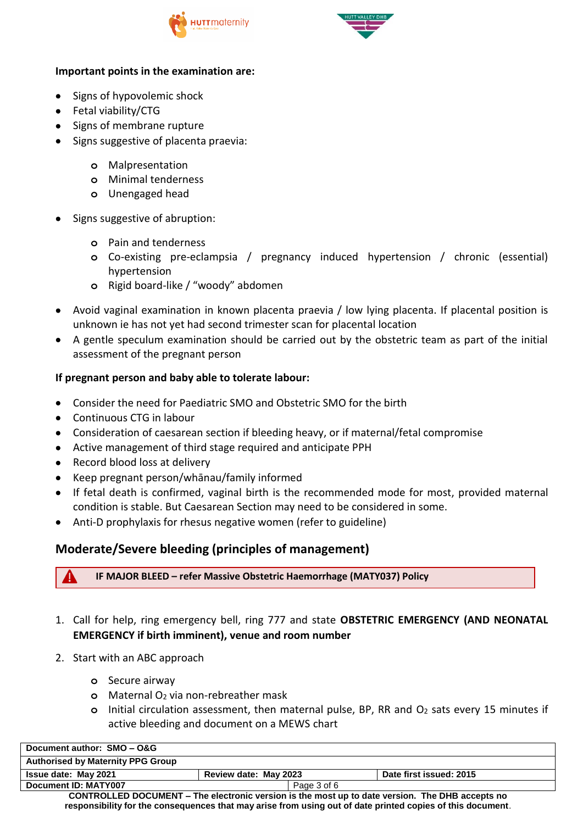



#### **Important points in the examination are:**

- Signs of hypovolemic shock
- Fetal viability/CTG
- Signs of membrane rupture
- Signs suggestive of placenta praevia:
	- **o** Malpresentation
	- **o** Minimal tenderness
	- **o** Unengaged head
- Signs suggestive of abruption:
	- **o** Pain and tenderness
	- **o** Co-existing pre-eclampsia / pregnancy induced hypertension / chronic (essential) hypertension
	- **o** Rigid board-like / "woody" abdomen
- Avoid vaginal examination in known placenta praevia / low lying placenta. If placental position is unknown ie has not yet had second trimester scan for placental location
- A gentle speculum examination should be carried out by the obstetric team as part of the initial assessment of the pregnant person

#### **If pregnant person and baby able to tolerate labour:**

- Consider the need for Paediatric SMO and Obstetric SMO for the birth
- Continuous CTG in labour
- Consideration of caesarean section if bleeding heavy, or if maternal/fetal compromise
- Active management of third stage required and anticipate PPH
- Record blood loss at delivery
- Keep pregnant person/whānau/family informed
- If fetal death is confirmed, vaginal birth is the recommended mode for most, provided maternal condition is stable. But Caesarean Section may need to be considered in some.
- Anti-D prophylaxis for rhesus negative women (refer to guideline)

## **Moderate/Severe bleeding (principles of management)**

**IF MAJOR BLEED – refer Massive Obstetric Haemorrhage (MATY037) Policy**

- 1. Call for help, ring emergency bell, ring 777 and state **OBSTETRIC EMERGENCY (AND NEONATAL EMERGENCY if birth imminent), venue and room number**
- 2. Start with an ABC approach
	- **o** Secure airway
	- **o** Maternal O<sub>2</sub> via non-rebreather mask
	- **o** Initial circulation assessment, then maternal pulse, BP, RR and O<sup>2</sup> sats every 15 minutes if active bleeding and document on a MEWS chart

| Document author: SMO - O&G                                                                             |                       |                         |
|--------------------------------------------------------------------------------------------------------|-----------------------|-------------------------|
| <b>Authorised by Maternity PPG Group</b>                                                               |                       |                         |
| <b>Issue date: May 2021</b>                                                                            | Review date: May 2023 | Date first issued: 2015 |
| Document ID: MATY007                                                                                   | Page 3 of 6           |                         |
| <b>CONTROLLED DOCUMENT – The electronic version is the most up to date version. The DHB accepts no</b> |                       |                         |

**responsibility for the consequences that may arise from using out of date printed copies of this document**.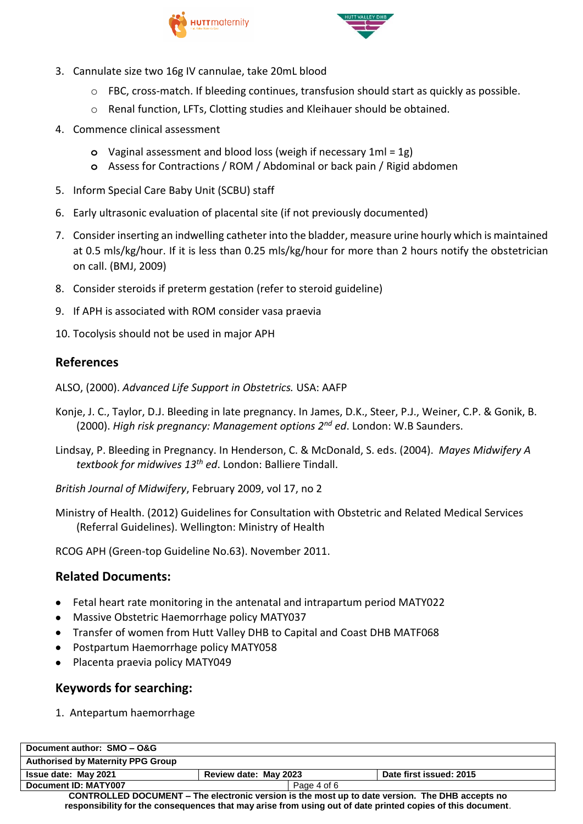



- 3. Cannulate size two 16g IV cannulae, take 20mL blood
	- o FBC, cross-match. If bleeding continues, transfusion should start as quickly as possible.
	- o Renal function, LFTs, Clotting studies and Kleihauer should be obtained.
- 4. Commence clinical assessment
	- **o** Vaginal assessment and blood loss (weigh if necessary 1ml = 1g)
	- **o** Assess for Contractions / ROM / Abdominal or back pain / Rigid abdomen
- 5. Inform Special Care Baby Unit (SCBU) staff
- 6. Early ultrasonic evaluation of placental site (if not previously documented)
- 7. Consider inserting an indwelling catheter into the bladder, measure urine hourly which is maintained at 0.5 mls/kg/hour. If it is less than 0.25 mls/kg/hour for more than 2 hours notify the obstetrician on call. (BMJ, 2009)
- 8. Consider steroids if preterm gestation (refer to steroid guideline)
- 9. If APH is associated with ROM consider vasa praevia
- 10. Tocolysis should not be used in major APH

# **References**

- ALSO, (2000). *Advanced Life Support in Obstetrics.* USA: AAFP
- Konje, J. C., Taylor, D.J. Bleeding in late pregnancy. In James, D.K., Steer, P.J., Weiner, C.P. & Gonik, B. (2000). *High risk pregnancy: Management options 2nd ed*. London: W.B Saunders.
- Lindsay, P. Bleeding in Pregnancy. In Henderson, C. & McDonald, S. eds. (2004). *Mayes Midwifery A textbook for midwives 13th ed*. London: Balliere Tindall.
- *British Journal of Midwifery*, February 2009, vol 17, no 2
- Ministry of Health. (2012) Guidelines for Consultation with Obstetric and Related Medical Services (Referral Guidelines). Wellington: Ministry of Health

RCOG APH (Green-top Guideline No.63). November 2011.

# **Related Documents:**

- Fetal heart rate monitoring in the antenatal and intrapartum period MATY022
- Massive Obstetric Haemorrhage policy MATY037
- Transfer of women from Hutt Valley DHB to Capital and Coast DHB MATF068
- Postpartum Haemorrhage policy MATY058
- Placenta praevia policy MATY049

## **Keywords for searching:**

1. Antepartum haemorrhage

| Document author: SMO - O&G                                                                                 |                       |                         |  |
|------------------------------------------------------------------------------------------------------------|-----------------------|-------------------------|--|
| <b>Authorised by Maternity PPG Group</b>                                                                   |                       |                         |  |
| <b>Issue date: May 2021</b>                                                                                | Review date: May 2023 | Date first issued: 2015 |  |
| Document ID: MATY007                                                                                       | Page 4 of 6           |                         |  |
| CONTROLLED DOCUMENT – The electronic version is the most up to date version. The DHB accepts no            |                       |                         |  |
| responsibility for the consequences that may arise from using out of date printed copies of this document. |                       |                         |  |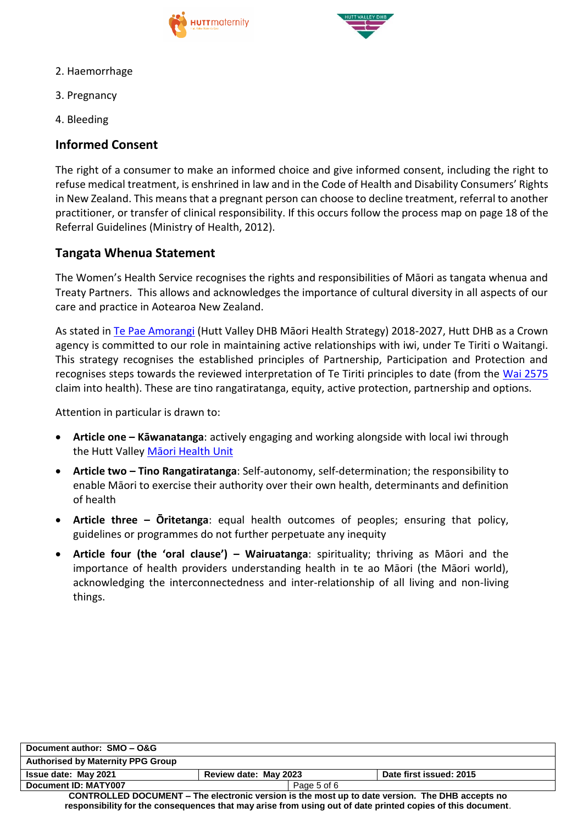



- 2. Haemorrhage
- 3. Pregnancy
- 4. Bleeding

## **Informed Consent**

The right of a consumer to make an informed choice and give informed consent, including the right to refuse medical treatment, is enshrined in law and in the Code of Health and Disability Consumers' Rights in New Zealand. This means that a pregnant person can choose to decline treatment, referral to another practitioner, or transfer of clinical responsibility. If this occurs follow the process map on page 18 of the Referral Guidelines (Ministry of Health, 2012).

## **Tangata Whenua Statement**

The Women's Health Service recognises the rights and responsibilities of Māori as tangata whenua and Treaty Partners. This allows and acknowledges the importance of cultural diversity in all aspects of our care and practice in Aotearoa New Zealand.

As stated in [Te Pae Amorangi](http://www.huttvalleydhb.org.nz/about-us/reports-and-publications/te-pae-amorangi/) (Hutt Valley DHB Māori Health Strategy) 2018-2027, Hutt DHB as a Crown agency is committed to our role in maintaining active relationships with iwi, under Te Tiriti o Waitangi. This strategy recognises the established principles of Partnership, Participation and Protection and recognises steps towards the reviewed interpretation of Te Tiriti principles to date (from the [Wai 2575](https://www.health.govt.nz/our-work/populations/maori-health/wai-2575-health-services-and-outcomes-kaupapa-inquiry) claim into health). These are tino rangatiratanga, equity, active protection, partnership and options.

Attention in particular is drawn to:

- **Article one – Kāwanatanga**: actively engaging and working alongside with local iwi through the Hutt Valley [Māori Health Unit](http://intranet.huttvalleydhb.org.nz/our-dhb/departments/maori-health-unit/)
- **Article two – Tino Rangatiratanga**: Self-autonomy, self-determination; the responsibility to enable Māori to exercise their authority over their own health, determinants and definition of health
- **Article three – Ōritetanga**: equal health outcomes of peoples; ensuring that policy, guidelines or programmes do not further perpetuate any inequity
- **Article four (the 'oral clause') – Wairuatanga**: spirituality; thriving as Māori and the importance of health providers understanding health in te ao Māori (the Māori world), acknowledging the interconnectedness and inter-relationship of all living and non-living things.

| Document author: SMO - O&G                                                                                 |                       |                         |  |
|------------------------------------------------------------------------------------------------------------|-----------------------|-------------------------|--|
| <b>Authorised by Maternity PPG Group</b>                                                                   |                       |                         |  |
| <b>Issue date: May 2021</b>                                                                                | Review date: May 2023 | Date first issued: 2015 |  |
| Document ID: MATY007                                                                                       | Page 5 of 6           |                         |  |
| CONTROLLED DOCUMENT – The electronic version is the most up to date version. The DHB accepts no            |                       |                         |  |
| responsibility for the consequences that may arise from using out of date printed copies of this document. |                       |                         |  |